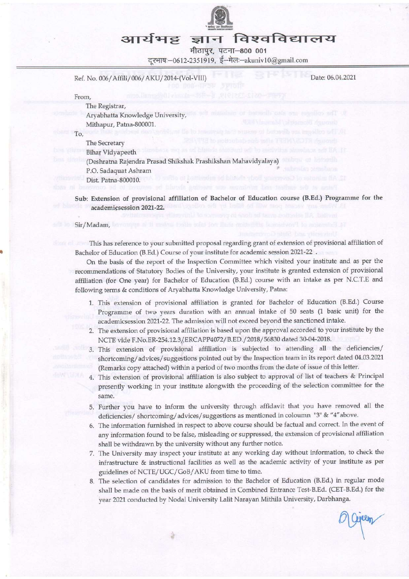

## आर्यभट्ट ज्ञान

मीठापुर, पटना-800 001 दरभाषः-0612-2351919, ई-मेलः-akuniv10@gmail.com

Ref. No. 006/Affili/006/AKU/2014-(Vol-VIII)

Date: 06.04.2021

From,

The Registrar, Aryabhatta Knowledge University, Mithapur, Patna-80000l.

To,

The Secretary Bihar Vidyapeeth (Deshratra Rajendra Prasad Shikshak Prashikshan Mahavidyalaya) P.O. Sadaquat Ashram Dist. Patna-800010.

Sub: Extension of provisional affiliation of Bachelor of Education course (B.Ed.) Programme for the academicsession 2021-22.

Sir/Madam,

This has reference to your submitted proposal regarding grant of extension of provisional affiliation of Bachelor of Education (B.Ed.) Course of your institute for academic session 2021-22.

On the basis of the report of the Inspection Committee which visited your institute and as per the recommendations of Statutory Bodies of the University, your institute is granted extension of provisional affiliation (for One year) for Bachelor of Education (B.Ed.) course with an intake as per N.C.T.E and following terms & conditions of Aryabhatta Knowledge University, Patna:

- 1. This extension of provisional affiliation is granted for Bachelor of Education (B.Ed.) Course Programme of two years duration with an annual intake of 50 seats (1 basic unit) for the academicsession 2021-22. The admission will not exceed beyond the sanctioned intake.
- 2. The extension of provisional affiliation is based upon the approval accorded to your institute by the NCTE vide F.No,ER-254.12.31ERCAPP4072/B.ED./2018/56830 dated 30-04-2018.
- 3. This extension of provisional affiliation is subjected to attending all the deficiencies/ shortcoming/advices/suggestions pointed out by the Inspection team in its report dated 04.03.2021' (Remarks copy attached) within a period of two months from the date of issue of this letter.
- 4. This extension of provisional affiliation is also subject to approval of list of teachers & Principal presenfly working in your institute alongwith the proceeding of the selection committee for the same.
- Further you have to inform the university through affidavit that you have removed all the deficiencies/ shortcoming/advices/suggestions as mentioned in coloumn "3" & "4"above.
- The information furnished in respect to above course should be factual and correct. In the event of any information found to be false, misleading or suppressed, the extension of provisional affiliation shall be withdrawn by the university without any further notice.
- 7. The University may inspect your institute at any working day without information, to check the infrastructure & instructional facilities as well as the academic activity of your institute as Per guidelines of NCTE/UGC/GoB/AKU from time to time.
- The selection of candidates for admission to the Bachelor of Education (B.Ed.) in regular mode shall be made on the basis of merit obtained in Combined Entance Test-B.Ed. (CET-B.Ed.) for the year 2021 conducted by Nodal University Lalit Narayan Mithila University, Darbhanga.

T-B.Ed.) for the<br>nga.<br>*Q* Given